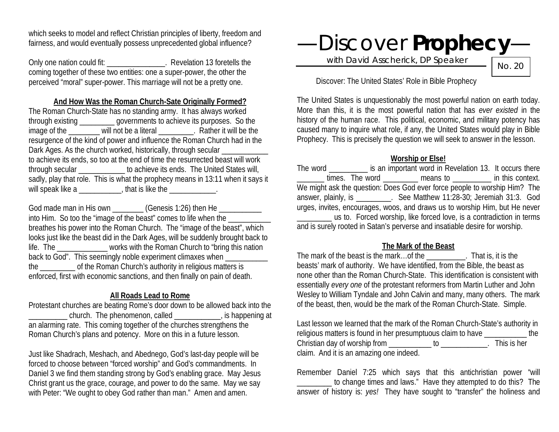which seeks to model and reflect Christian principles of liberty, freedom and fairness, and would eventually possess unprecedented global influence?

Only one nation could fit: \_\_\_\_\_\_\_\_\_\_\_\_\_\_\_\_. Revelation 13 foretells the coming together of these two entities: one a super-power, the other the perceived "moral" super-power. This marriage will not be a pretty one.

#### **And How Was the Roman Church-Sate Originally Formed?**

The Roman Church-State has no standing army. It has always worked through existing \_\_\_\_\_\_\_\_\_ governments to achieve its purposes. So the image of the will not be a literal Rather it will be the resurgence of the kind of power and influence the Roman Church had in the Dark Ages. As the church worked, historically, through secular \_\_\_\_\_\_\_\_\_\_\_\_\_\_\_\_\_ to achieve its ends, so too at the end of time the resurrected beast will work through secular \_\_\_\_\_\_\_\_\_\_\_\_ to achieve its ends. The United States will, sadly, play that role. This is what the prophecy means in 13:11 when it says it will speak like a  $\frac{1}{2}$  that is like the  $\frac{1}{2}$ .

God made man in His own (Genesis 1:26) then He into Him. So too the "image of the beast" comes to life when the breathes his power into the Roman Church. The "image of the beast", which looks just like the beast did in the Dark Ages, will be suddenly brought back to life. The \_\_\_\_\_\_\_\_\_\_\_\_\_ works with the Roman Church to "bring this nation back to God". This seemingly noble experiment climaxes when the the Roman Church's authority in religious matters is enforced, first with economic sanctions, and then finally on pain of death.

# **All Roads Lead to Rome**

Protestant churches are beating Rome's door down to be allowed back into the \_\_\_\_\_\_\_\_\_\_ church. The phenomenon, called \_\_\_\_\_\_\_\_\_\_\_\_, is happening at an alarming rate. This coming together of the churches strengthens the Roman Church's plans and potency. More on this in a future lesson.

Just like Shadrach, Meshach, and Abednego, God's last-day people will be forced to choose between "forced worship" and God's commandments. In Daniel 3 we find them standing strong by God's enabling grace. May Jesus Christ grant us the grace, courage, and power to do the same. May we say with Peter: "We ought to obey God rather than man." Amen and amen.

—Discover **Prophecy**—

with David Asscherick, DP Speaker

No. 20

Discover: The United States' Role in Bible Prophecy

The United States is unquestionably the most powerful nation on earth today. More than this, it is the most powerful nation that has *ever existed* in the history of the human race. This political, economic, and military potency has caused many to inquire what role, if any, the United States would play in Bible Prophecy. This is precisely the question we will seek to answer in the lesson.

# **Worship or Else!**

The word \_\_\_\_\_\_\_\_\_\_ is an important word in Revelation 13. It occurs there  $times.$  The word  $\frac{1}{\frac{1}{1-\frac{1}{1-\frac{1}{1-\frac{1}{1-\frac{1}{1-\frac{1}{1-\frac{1}{1-\frac{1}{1-\frac{1}{1-\frac{1}{1-\frac{1}{1-\frac{1}{1-\frac{1}{1-\frac{1}{1-\frac{1}{1-\frac{1}{1-\frac{1}{1-\frac{1}{1-\frac{1}{1-\frac{1}{1-\frac{1}{1-\frac{1}{1-\frac{1}{1-\frac{1}{1-\frac{1}{1-\frac{1}{1-\frac{1}{1-\frac{1}{1-\frac{1}{1-\frac{1}{1-\frac{1}{1-\frac{1}{1-\frac{1}{1-\frac{$ We might ask the question: Does God ever force people to worship Him? The answer, plainly, is \_\_\_\_\_\_\_\_\_. See Matthew 11:28-30; Jeremiah 31:3. God urges, invites, encourages, woos, and draws us to worship Him, but He never \_\_\_\_\_\_\_\_\_ us to. Forced worship, like forced love, is a contradiction in terms and is surely rooted in Satan's perverse and insatiable desire for worship.

# **The Mark of the Beast**

The mark of the beast is the mark…of the \_\_\_\_\_\_\_\_\_\_. That is, it is the beasts' mark of authority. We have identified, from the Bible, the beast as none other than the Roman Church-State. This identification is consistent with essentially *every one* of the protestant reformers from Martin Luther and John Wesley to William Tyndale and John Calvin and many, many others. The mark of the beast, then, would be the mark of the Roman Church-State. Simple.

Last lesson we learned that the mark of the Roman Church-State's authority in religious matters is found in her presumptuous claim to have \_\_\_\_\_\_\_\_\_\_\_ the Christian day of worship from \_\_\_\_\_\_\_\_\_\_\_\_\_ to \_\_\_\_\_\_\_\_\_\_\_\_. This is her claim. And it is an amazing one indeed.

Remember Daniel 7:25 which says that this antichristian power "will to change times and laws." Have they attempted to do this? The answer of history is: *yes!* They have sought to "transfer" the holiness and